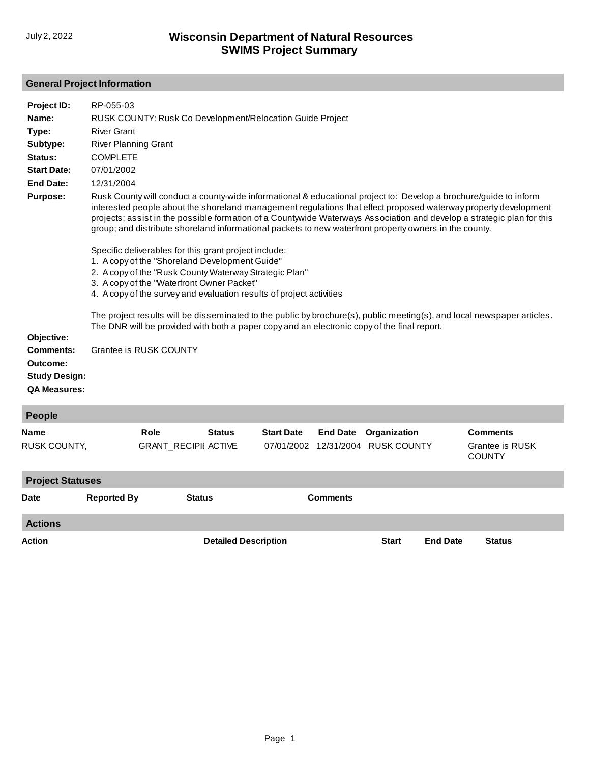# **General Project Information**

| Project ID:                                                          | RP-055-03                                                                                                                                                                                                                                                                                                                                                                                                                                                                |                        |                                              |                                                                                             |                 |                                                   |                 |                                                                                                                         |  |
|----------------------------------------------------------------------|--------------------------------------------------------------------------------------------------------------------------------------------------------------------------------------------------------------------------------------------------------------------------------------------------------------------------------------------------------------------------------------------------------------------------------------------------------------------------|------------------------|----------------------------------------------|---------------------------------------------------------------------------------------------|-----------------|---------------------------------------------------|-----------------|-------------------------------------------------------------------------------------------------------------------------|--|
| Name:                                                                |                                                                                                                                                                                                                                                                                                                                                                                                                                                                          |                        |                                              | RUSK COUNTY: Rusk Co Development/Relocation Guide Project                                   |                 |                                                   |                 |                                                                                                                         |  |
| Type:                                                                | <b>River Grant</b>                                                                                                                                                                                                                                                                                                                                                                                                                                                       |                        |                                              |                                                                                             |                 |                                                   |                 |                                                                                                                         |  |
| Subtype:                                                             | <b>River Planning Grant</b>                                                                                                                                                                                                                                                                                                                                                                                                                                              |                        |                                              |                                                                                             |                 |                                                   |                 |                                                                                                                         |  |
| Status:                                                              | <b>COMPLETE</b>                                                                                                                                                                                                                                                                                                                                                                                                                                                          |                        |                                              |                                                                                             |                 |                                                   |                 |                                                                                                                         |  |
| <b>Start Date:</b>                                                   | 07/01/2002                                                                                                                                                                                                                                                                                                                                                                                                                                                               |                        |                                              |                                                                                             |                 |                                                   |                 |                                                                                                                         |  |
| <b>End Date:</b>                                                     | 12/31/2004                                                                                                                                                                                                                                                                                                                                                                                                                                                               |                        |                                              |                                                                                             |                 |                                                   |                 |                                                                                                                         |  |
| <b>Purpose:</b>                                                      | Rusk County will conduct a county-wide informational & educational project to: Develop a brochure/guide to inform<br>interested people about the shoreland management regulations that effect proposed waterway property development<br>projects; assist in the possible formation of a Countywide Waterways Association and develop a strategic plan for this<br>group; and distribute shoreland informational packets to new waterfront property owners in the county. |                        |                                              |                                                                                             |                 |                                                   |                 |                                                                                                                         |  |
|                                                                      | Specific deliverables for this grant project include:<br>1. A copy of the "Shoreland Development Guide"<br>2. A copy of the "Rusk County Waterway Strategic Plan"<br>3. A copy of the "Waterfront Owner Packet"<br>4. A copy of the survey and evaluation results of project activities                                                                                                                                                                                  |                        |                                              |                                                                                             |                 |                                                   |                 |                                                                                                                         |  |
| Objective:                                                           |                                                                                                                                                                                                                                                                                                                                                                                                                                                                          |                        |                                              | The DNR will be provided with both a paper copy and an electronic copy of the final report. |                 |                                                   |                 | The project results will be disseminated to the public by brochure(s), public meeting(s), and local newspaper articles. |  |
| Comments:<br>Outcome:<br><b>Study Design:</b><br><b>QA Measures:</b> |                                                                                                                                                                                                                                                                                                                                                                                                                                                                          | Grantee is RUSK COUNTY |                                              |                                                                                             |                 |                                                   |                 |                                                                                                                         |  |
| <b>People</b>                                                        |                                                                                                                                                                                                                                                                                                                                                                                                                                                                          |                        |                                              |                                                                                             |                 |                                                   |                 |                                                                                                                         |  |
| <b>Name</b><br>RUSK COUNTY,                                          |                                                                                                                                                                                                                                                                                                                                                                                                                                                                          | Role                   | <b>Status</b><br><b>GRANT_RECIPII ACTIVE</b> | <b>Start Date</b>                                                                           | <b>End Date</b> | Organization<br>07/01/2002 12/31/2004 RUSK COUNTY |                 | <b>Comments</b><br>Grantee is RUSK<br><b>COUNTY</b>                                                                     |  |
| <b>Project Statuses</b>                                              |                                                                                                                                                                                                                                                                                                                                                                                                                                                                          |                        |                                              |                                                                                             |                 |                                                   |                 |                                                                                                                         |  |
| Date                                                                 | <b>Reported By</b>                                                                                                                                                                                                                                                                                                                                                                                                                                                       |                        | <b>Status</b>                                |                                                                                             | <b>Comments</b> |                                                   |                 |                                                                                                                         |  |
| <b>Actions</b>                                                       |                                                                                                                                                                                                                                                                                                                                                                                                                                                                          |                        |                                              |                                                                                             |                 |                                                   |                 |                                                                                                                         |  |
| Action                                                               |                                                                                                                                                                                                                                                                                                                                                                                                                                                                          |                        | <b>Detailed Description</b>                  |                                                                                             |                 | <b>Start</b>                                      | <b>End Date</b> | <b>Status</b>                                                                                                           |  |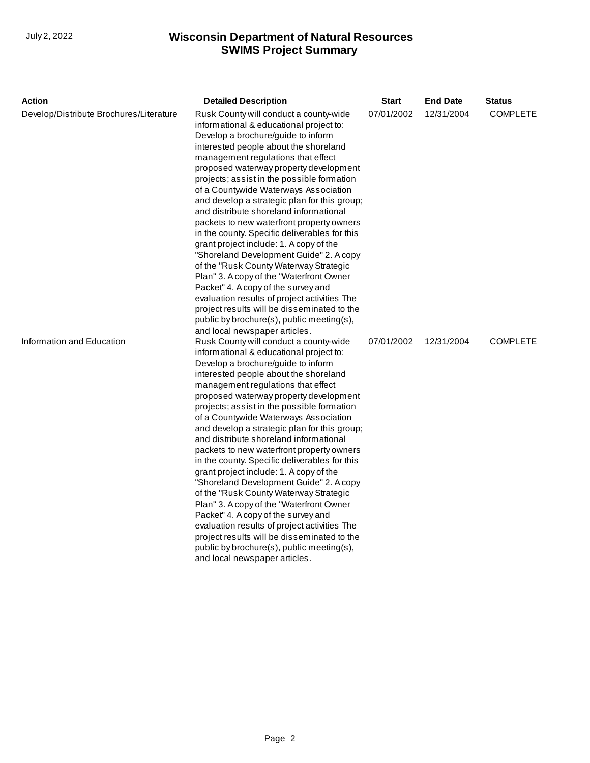| Action                                  | <b>Detailed Description</b>                                                                                                                                                                                                                                                                                                                                                                                                                                                                                                                                                                                                                                                                                                                                                                                                                                                                                                     | Start      | <b>End Date</b> | <b>Status</b>   |
|-----------------------------------------|---------------------------------------------------------------------------------------------------------------------------------------------------------------------------------------------------------------------------------------------------------------------------------------------------------------------------------------------------------------------------------------------------------------------------------------------------------------------------------------------------------------------------------------------------------------------------------------------------------------------------------------------------------------------------------------------------------------------------------------------------------------------------------------------------------------------------------------------------------------------------------------------------------------------------------|------------|-----------------|-----------------|
| Develop/Distribute Brochures/Literature | Rusk County will conduct a county-wide<br>informational & educational project to:<br>Develop a brochure/guide to inform<br>interested people about the shoreland<br>management regulations that effect<br>proposed waterway property development<br>projects; assist in the possible formation<br>of a Countywide Waterways Association<br>and develop a strategic plan for this group;<br>and distribute shoreland informational<br>packets to new waterfront property owners<br>in the county. Specific deliverables for this<br>grant project include: 1. A copy of the<br>"Shoreland Development Guide" 2. A copy<br>of the "Rusk County Waterway Strategic<br>Plan" 3. A copy of the "Waterfront Owner<br>Packet" 4. A copy of the survey and<br>evaluation results of project activities The<br>project results will be disseminated to the<br>public by brochure(s), public meeting(s),<br>and local newspaper articles. | 07/01/2002 | 12/31/2004      | <b>COMPLETE</b> |
| Information and Education               | Rusk County will conduct a county-wide<br>informational & educational project to:<br>Develop a brochure/guide to inform<br>interested people about the shoreland<br>management regulations that effect<br>proposed waterway property development<br>projects; assist in the possible formation<br>of a Countywide Waterways Association<br>and develop a strategic plan for this group;<br>and distribute shoreland informational<br>packets to new waterfront property owners<br>in the county. Specific deliverables for this<br>grant project include: 1. A copy of the<br>"Shoreland Development Guide" 2. A copy<br>of the "Rusk County Waterway Strategic<br>Plan" 3. A copy of the "Waterfront Owner<br>Packet" 4. A copy of the survey and<br>evaluation results of project activities The<br>project results will be disseminated to the<br>public by brochure(s), public meeting(s),<br>and local newspaper articles. | 07/01/2002 | 12/31/2004      | <b>COMPLETE</b> |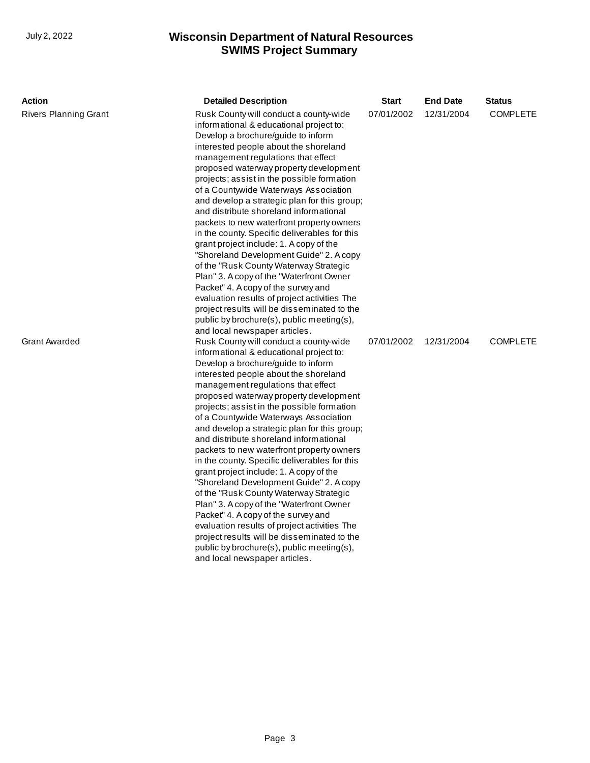| <b>Action</b>                | <b>Detailed Description</b>                                                                                                                                                                                                                                                                                                                                                                                                                                                                                                                                                                                                                                                                                                                                                                                                                                                                                                      | Start      | <b>End Date</b> | <b>Status</b>   |
|------------------------------|----------------------------------------------------------------------------------------------------------------------------------------------------------------------------------------------------------------------------------------------------------------------------------------------------------------------------------------------------------------------------------------------------------------------------------------------------------------------------------------------------------------------------------------------------------------------------------------------------------------------------------------------------------------------------------------------------------------------------------------------------------------------------------------------------------------------------------------------------------------------------------------------------------------------------------|------------|-----------------|-----------------|
| <b>Rivers Planning Grant</b> | Rusk County will conduct a county-wide<br>informational & educational project to:<br>Develop a brochure/guide to inform<br>interested people about the shoreland<br>management regulations that effect<br>proposed waterway property development<br>projects; assist in the possible formation<br>of a Countywide Waterways Association<br>and develop a strategic plan for this group;<br>and distribute shoreland informational<br>packets to new waterfront property owners<br>in the county. Specific deliverables for this<br>grant project include: 1. A copy of the<br>"Shoreland Development Guide" 2. A copy<br>of the "Rusk County Waterway Strategic<br>Plan" 3. A copy of the "Waterfront Owner<br>Packet" 4. A copy of the survey and<br>evaluation results of project activities The<br>project results will be disseminated to the<br>public by brochure(s), public meeting(s),<br>and local newspaper articles.  | 07/01/2002 | 12/31/2004      | <b>COMPLETE</b> |
| <b>Grant Awarded</b>         | Rusk County will conduct a county-wide<br>informational & educational project to:<br>Develop a brochure/guide to inform<br>interested people about the shoreland<br>management regulations that effect<br>proposed waterway property development<br>projects; assist in the possible formation<br>of a Countywide Waterways Association<br>and develop a strategic plan for this group;<br>and distribute shoreland informational<br>packets to new waterfront property owners<br>in the county. Specific deliverables for this<br>grant project include: 1. A copy of the<br>"Shoreland Development Guide" 2. A copy<br>of the "Rusk County Waterway Strategic<br>Plan" 3. A copy of the "Waterfront Owner"<br>Packet" 4. A copy of the survey and<br>evaluation results of project activities The<br>project results will be disseminated to the<br>public by brochure(s), public meeting(s),<br>and local newspaper articles. | 07/01/2002 | 12/31/2004      | <b>COMPLETE</b> |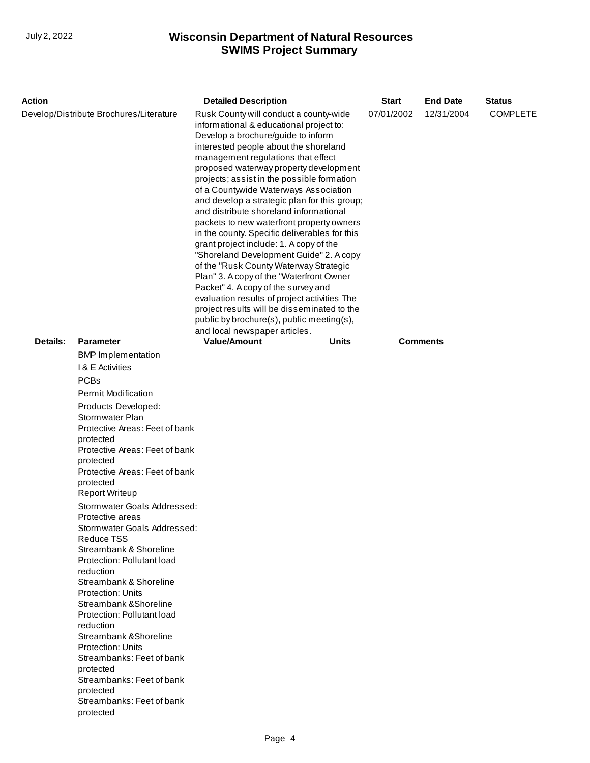| Action                                  |                                                                                                                                                                                                              | <b>Detailed Description</b>                                                                                                                                                                                                                                                                                                                                                                                                                                                                                                                                                                                                                                                                                                                                                                                                                                                                    |            | <b>Start</b> | <b>End Date</b> | <b>Status</b> |
|-----------------------------------------|--------------------------------------------------------------------------------------------------------------------------------------------------------------------------------------------------------------|------------------------------------------------------------------------------------------------------------------------------------------------------------------------------------------------------------------------------------------------------------------------------------------------------------------------------------------------------------------------------------------------------------------------------------------------------------------------------------------------------------------------------------------------------------------------------------------------------------------------------------------------------------------------------------------------------------------------------------------------------------------------------------------------------------------------------------------------------------------------------------------------|------------|--------------|-----------------|---------------|
| Develop/Distribute Brochures/Literature |                                                                                                                                                                                                              | Rusk County will conduct a county-wide<br>informational & educational project to:<br>Develop a brochure/guide to inform<br>interested people about the shoreland<br>management regulations that effect<br>proposed waterway property development<br>projects; assist in the possible formation<br>of a Countywide Waterways Association<br>and develop a strategic plan for this group;<br>and distribute shoreland informational<br>packets to new waterfront property owners<br>in the county. Specific deliverables for this<br>grant project include: 1. A copy of the<br>"Shoreland Development Guide" 2. A copy<br>of the "Rusk County Waterway Strategic<br>Plan" 3. A copy of the "Waterfront Owner<br>Packet" 4. A copy of the survey and<br>evaluation results of project activities The<br>project results will be disseminated to the<br>public by brochure(s), public meeting(s), | 07/01/2002 | 12/31/2004   | <b>COMPLETE</b> |               |
|                                         |                                                                                                                                                                                                              | and local newspaper articles.                                                                                                                                                                                                                                                                                                                                                                                                                                                                                                                                                                                                                                                                                                                                                                                                                                                                  |            |              |                 |               |
| Details:                                | <b>Parameter</b>                                                                                                                                                                                             | <b>Value/Amount</b>                                                                                                                                                                                                                                                                                                                                                                                                                                                                                                                                                                                                                                                                                                                                                                                                                                                                            | Units      |              | <b>Comments</b> |               |
|                                         | <b>BMP</b> Implementation                                                                                                                                                                                    |                                                                                                                                                                                                                                                                                                                                                                                                                                                                                                                                                                                                                                                                                                                                                                                                                                                                                                |            |              |                 |               |
|                                         | I & E Activities                                                                                                                                                                                             |                                                                                                                                                                                                                                                                                                                                                                                                                                                                                                                                                                                                                                                                                                                                                                                                                                                                                                |            |              |                 |               |
|                                         | <b>PCBs</b>                                                                                                                                                                                                  |                                                                                                                                                                                                                                                                                                                                                                                                                                                                                                                                                                                                                                                                                                                                                                                                                                                                                                |            |              |                 |               |
|                                         | <b>Permit Modification</b>                                                                                                                                                                                   |                                                                                                                                                                                                                                                                                                                                                                                                                                                                                                                                                                                                                                                                                                                                                                                                                                                                                                |            |              |                 |               |
|                                         | Products Developed:<br>Stormwater Plan<br>Protective Areas: Feet of bank<br>protected<br>Protective Areas: Feet of bank<br>protected<br>Protective Areas: Feet of bank<br>protected<br><b>Report Writeup</b> |                                                                                                                                                                                                                                                                                                                                                                                                                                                                                                                                                                                                                                                                                                                                                                                                                                                                                                |            |              |                 |               |
|                                         | Stormwater Goals Addressed:                                                                                                                                                                                  |                                                                                                                                                                                                                                                                                                                                                                                                                                                                                                                                                                                                                                                                                                                                                                                                                                                                                                |            |              |                 |               |
|                                         | Protective areas<br>Stormwater Goals Addressed:                                                                                                                                                              |                                                                                                                                                                                                                                                                                                                                                                                                                                                                                                                                                                                                                                                                                                                                                                                                                                                                                                |            |              |                 |               |
|                                         | Reduce TSS<br>Streambank & Shoreline<br>Protection: Pollutant load<br>reduction                                                                                                                              |                                                                                                                                                                                                                                                                                                                                                                                                                                                                                                                                                                                                                                                                                                                                                                                                                                                                                                |            |              |                 |               |
|                                         | Streambank & Shoreline<br><b>Protection: Units</b><br>Streambank & Shoreline<br>Protection: Pollutant load                                                                                                   |                                                                                                                                                                                                                                                                                                                                                                                                                                                                                                                                                                                                                                                                                                                                                                                                                                                                                                |            |              |                 |               |
|                                         | reduction<br>Streambank & Shoreline                                                                                                                                                                          |                                                                                                                                                                                                                                                                                                                                                                                                                                                                                                                                                                                                                                                                                                                                                                                                                                                                                                |            |              |                 |               |
|                                         | <b>Protection: Units</b><br>Streambanks: Feet of bank<br>protected                                                                                                                                           |                                                                                                                                                                                                                                                                                                                                                                                                                                                                                                                                                                                                                                                                                                                                                                                                                                                                                                |            |              |                 |               |
|                                         | Streambanks: Feet of bank<br>protected                                                                                                                                                                       |                                                                                                                                                                                                                                                                                                                                                                                                                                                                                                                                                                                                                                                                                                                                                                                                                                                                                                |            |              |                 |               |
|                                         | Streambanks: Feet of bank<br>protected                                                                                                                                                                       |                                                                                                                                                                                                                                                                                                                                                                                                                                                                                                                                                                                                                                                                                                                                                                                                                                                                                                |            |              |                 |               |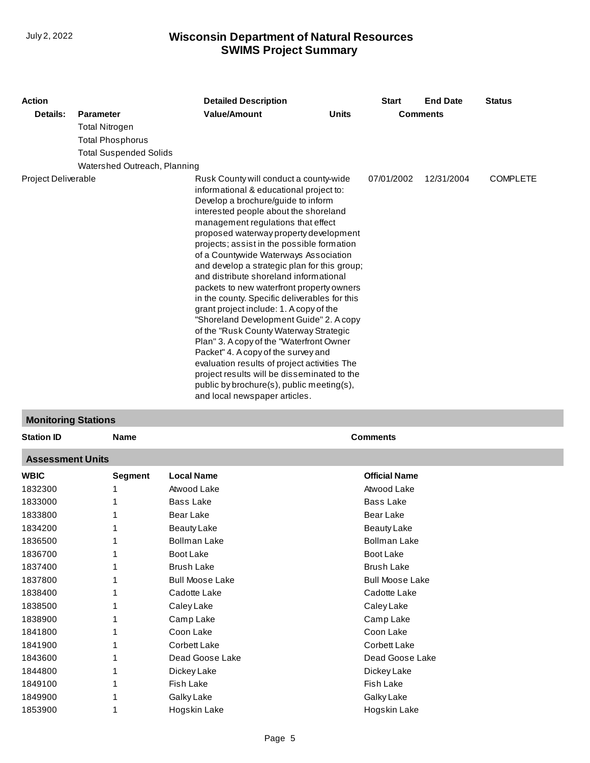| <b>Action</b>              |                               | <b>Detailed Description</b>                                                                                                                                                                                                                                                                                                                                                                                                                                                                                                                                                                                                                                                                                                                                                                                                                                                                                                    |              | <b>Start</b> | <b>End Date</b> | <b>Status</b>   |
|----------------------------|-------------------------------|--------------------------------------------------------------------------------------------------------------------------------------------------------------------------------------------------------------------------------------------------------------------------------------------------------------------------------------------------------------------------------------------------------------------------------------------------------------------------------------------------------------------------------------------------------------------------------------------------------------------------------------------------------------------------------------------------------------------------------------------------------------------------------------------------------------------------------------------------------------------------------------------------------------------------------|--------------|--------------|-----------------|-----------------|
| Details:                   | <b>Parameter</b>              | <b>Value/Amount</b>                                                                                                                                                                                                                                                                                                                                                                                                                                                                                                                                                                                                                                                                                                                                                                                                                                                                                                            | <b>Units</b> |              | <b>Comments</b> |                 |
|                            | <b>Total Nitrogen</b>         |                                                                                                                                                                                                                                                                                                                                                                                                                                                                                                                                                                                                                                                                                                                                                                                                                                                                                                                                |              |              |                 |                 |
|                            | <b>Total Phosphorus</b>       |                                                                                                                                                                                                                                                                                                                                                                                                                                                                                                                                                                                                                                                                                                                                                                                                                                                                                                                                |              |              |                 |                 |
|                            | <b>Total Suspended Solids</b> |                                                                                                                                                                                                                                                                                                                                                                                                                                                                                                                                                                                                                                                                                                                                                                                                                                                                                                                                |              |              |                 |                 |
|                            | Watershed Outreach, Planning  |                                                                                                                                                                                                                                                                                                                                                                                                                                                                                                                                                                                                                                                                                                                                                                                                                                                                                                                                |              |              |                 |                 |
| <b>Project Deliverable</b> |                               | Rusk County will conduct a county-wide<br>informational & educational project to:<br>Develop a brochure/guide to inform<br>interested people about the shoreland<br>management regulations that effect<br>proposed waterway property development<br>projects; assist in the possible formation<br>of a Countwide Waterways Association<br>and develop a strategic plan for this group;<br>and distribute shoreland informational<br>packets to new waterfront property owners<br>in the county. Specific deliverables for this<br>grant project include: 1. A copy of the<br>"Shoreland Development Guide" 2. A copy<br>of the "Rusk County Waterway Strategic<br>Plan" 3. A copy of the "Waterfront Owner<br>Packet" 4. A copy of the survey and<br>evaluation results of project activities The<br>project results will be disseminated to the<br>public by brochure(s), public meeting(s),<br>and local newspaper articles. |              | 07/01/2002   | 12/31/2004      | <b>COMPLETE</b> |

#### **Monitoring Stations**

| <b>Station ID</b>       | <b>Name</b>    |                        | <b>Comments</b>        |
|-------------------------|----------------|------------------------|------------------------|
| <b>Assessment Units</b> |                |                        |                        |
| <b>WBIC</b>             | <b>Segment</b> | <b>Local Name</b>      | <b>Official Name</b>   |
| 1832300                 |                | Atwood Lake            | Atwood Lake            |
| 1833000                 |                | <b>Bass Lake</b>       | <b>Bass Lake</b>       |
| 1833800                 |                | Bear Lake              | <b>Bear Lake</b>       |
| 1834200                 |                | <b>Beauty Lake</b>     | <b>Beauty Lake</b>     |
| 1836500                 |                | <b>Bollman Lake</b>    | <b>Bollman Lake</b>    |
| 1836700                 |                | Boot Lake              | Boot Lake              |
| 1837400                 |                | <b>Brush Lake</b>      | <b>Brush Lake</b>      |
| 1837800                 |                | <b>Bull Moose Lake</b> | <b>Bull Moose Lake</b> |
| 1838400                 |                | Cadotte Lake           | Cadotte Lake           |
| 1838500                 |                | Caley Lake             | Caley Lake             |
| 1838900                 |                | Camp Lake              | Camp Lake              |
| 1841800                 |                | Coon Lake              | Coon Lake              |
| 1841900                 |                | Corbett Lake           | Corbett Lake           |
| 1843600                 |                | Dead Goose Lake        | Dead Goose Lake        |
| 1844800                 |                | Dickey Lake            | Dickey Lake            |
| 1849100                 |                | <b>Fish Lake</b>       | <b>Fish Lake</b>       |
| 1849900                 |                | Galky Lake             | Galky Lake             |
| 1853900                 |                | Hogskin Lake           | Hogskin Lake           |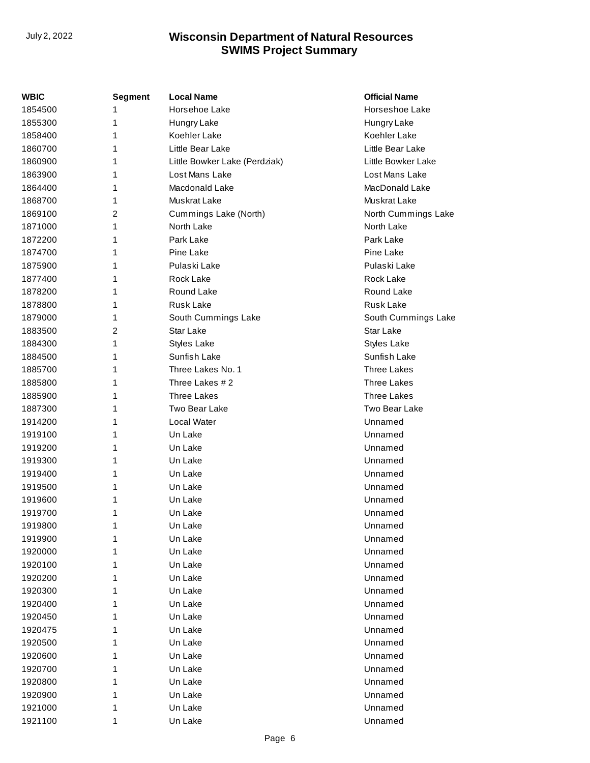| WBIC    | Segment        | <b>Local Name</b>             | <b>Official Name</b> |
|---------|----------------|-------------------------------|----------------------|
| 1854500 | 1              | Horsehoe Lake                 | Horseshoe Lake       |
| 1855300 | 1              | Hungry Lake                   | Hungry Lake          |
| 1858400 | 1              | Koehler Lake                  | Koehler Lake         |
| 1860700 | 1              | Little Bear Lake              | Little Bear Lake     |
| 1860900 | 1              | Little Bowker Lake (Perdziak) | Little Bowker Lake   |
| 1863900 | 1              | Lost Mans Lake                | Lost Mans Lake       |
| 1864400 | 1              | Macdonald Lake                | MacDonald Lake       |
| 1868700 | 1              | Muskrat Lake                  | Muskrat Lake         |
| 1869100 | 2              | Cummings Lake (North)         | North Cummings Lake  |
| 1871000 | 1              | North Lake                    | North Lake           |
| 1872200 | 1              | Park Lake                     | Park Lake            |
| 1874700 | 1              | Pine Lake                     | Pine Lake            |
| 1875900 | 1              | Pulaski Lake                  | Pulaski Lake         |
| 1877400 | 1              | Rock Lake                     | Rock Lake            |
| 1878200 | 1              | Round Lake                    | Round Lake           |
| 1878800 | 1              | <b>Rusk Lake</b>              | <b>Rusk Lake</b>     |
| 1879000 | 1              | South Cummings Lake           | South Cummings Lake  |
| 1883500 | $\overline{2}$ | Star Lake                     | Star Lake            |
| 1884300 | 1              | <b>Styles Lake</b>            | <b>Styles Lake</b>   |
| 1884500 | 1              | Sunfish Lake                  | Sunfish Lake         |
| 1885700 | 1              | Three Lakes No. 1             | <b>Three Lakes</b>   |
| 1885800 | 1              | Three Lakes #2                | <b>Three Lakes</b>   |
| 1885900 | 1              | <b>Three Lakes</b>            | <b>Three Lakes</b>   |
| 1887300 | 1              | Two Bear Lake                 | Two Bear Lake        |
| 1914200 | 1              | Local Water                   | Unnamed              |
| 1919100 | 1              | Un Lake                       | Unnamed              |
| 1919200 | 1              | Un Lake                       | Unnamed              |
| 1919300 | 1              | Un Lake                       | Unnamed              |
| 1919400 | 1              | Un Lake                       | Unnamed              |
| 1919500 | 1              | Un Lake                       | Unnamed              |
| 1919600 | 1              | Un Lake                       | Unnamed              |
| 1919700 | 1              | Un Lake                       | Unnamed              |
| 1919800 | 1              | Un Lake                       | Unnamed              |
| 1919900 |                | Un Lake                       | Unnamed              |
| 1920000 |                | Un Lake                       | Unnamed              |
| 1920100 | 1              | Un Lake                       | Unnamed              |
| 1920200 | 1              | Un Lake                       | Unnamed              |
| 1920300 | 1              | Un Lake                       | Unnamed              |
| 1920400 | 1              | Un Lake                       | Unnamed              |
| 1920450 | 1              | Un Lake                       | Unnamed              |
| 1920475 | 1              | Un Lake                       | Unnamed              |
| 1920500 |                | Un Lake                       | Unnamed              |
| 1920600 |                | Un Lake                       | Unnamed              |
| 1920700 |                | Un Lake                       | Unnamed              |
| 1920800 | 1              | Un Lake                       | Unnamed              |
| 1920900 |                | Un Lake                       | Unnamed              |
| 1921000 |                | Un Lake                       | Unnamed              |
| 1921100 | 1              | Un Lake                       | Unnamed              |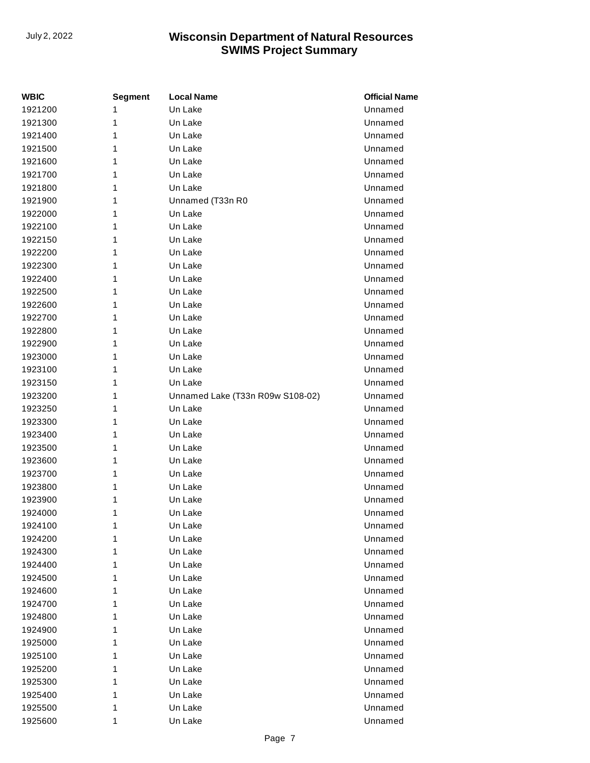| WBIC    | <b>Segment</b> | <b>Local Name</b>                | <b>Official Name</b> |
|---------|----------------|----------------------------------|----------------------|
| 1921200 | 1              | Un Lake                          | Unnamed              |
| 1921300 | 1              | Un Lake                          | Unnamed              |
| 1921400 | 1              | Un Lake                          | Unnamed              |
| 1921500 | 1              | Un Lake                          | Unnamed              |
| 1921600 | 1              | Un Lake                          | Unnamed              |
| 1921700 | 1              | Un Lake                          | Unnamed              |
| 1921800 | 1              | Un Lake                          | Unnamed              |
| 1921900 | 1              | Unnamed (T33n R0                 | Unnamed              |
| 1922000 | 1              | Un Lake                          | Unnamed              |
| 1922100 | 1              | Un Lake                          | Unnamed              |
| 1922150 | 1              | Un Lake                          | Unnamed              |
| 1922200 | 1              | Un Lake                          | Unnamed              |
| 1922300 | 1              | Un Lake                          | Unnamed              |
| 1922400 | 1              | Un Lake                          | Unnamed              |
| 1922500 | 1              | Un Lake                          | Unnamed              |
| 1922600 | 1              | Un Lake                          | Unnamed              |
| 1922700 | 1              | Un Lake                          | Unnamed              |
| 1922800 | 1              | Un Lake                          | Unnamed              |
| 1922900 | 1              | Un Lake                          | Unnamed              |
| 1923000 | 1              | Un Lake                          | Unnamed              |
| 1923100 | 1              | Un Lake                          | Unnamed              |
| 1923150 | 1              | Un Lake                          | Unnamed              |
| 1923200 | 1              | Unnamed Lake (T33n R09w S108-02) | Unnamed              |
| 1923250 | 1              | Un Lake                          | Unnamed              |
| 1923300 | 1              | Un Lake                          | Unnamed              |
| 1923400 | 1              | Un Lake                          | Unnamed              |
| 1923500 | 1              | Un Lake                          | Unnamed              |
| 1923600 | 1              | Un Lake                          | Unnamed              |
| 1923700 | 1              | Un Lake                          | Unnamed              |
| 1923800 | 1              | Un Lake                          | Unnamed              |
| 1923900 | 1              | Un Lake                          | Unnamed              |
| 1924000 | 1              | Un Lake                          | Unnamed              |
| 1924100 | 1              | Un Lake                          | Unnamed              |
| 1924200 | 1              | Un Lake                          | Unnamed              |
| 1924300 | 1              | Un Lake                          | Unnamed              |
| 1924400 | 1              | Un Lake                          | Unnamed              |
| 1924500 | 1              | Un Lake                          | Unnamed              |
| 1924600 | 1              | Un Lake                          | Unnamed              |
| 1924700 | 1              | Un Lake                          | Unnamed              |
| 1924800 | 1              | Un Lake                          | Unnamed              |
| 1924900 | 1              | Un Lake                          | Unnamed              |
| 1925000 | 1              | Un Lake                          | Unnamed              |
| 1925100 | 1              | Un Lake                          | Unnamed              |
| 1925200 | 1              | Un Lake                          | Unnamed              |
| 1925300 | 1              | Un Lake                          | Unnamed              |
| 1925400 | 1              | Un Lake                          | Unnamed              |
| 1925500 | 1              | Un Lake                          | Unnamed              |
| 1925600 | 1              | Un Lake                          | Unnamed              |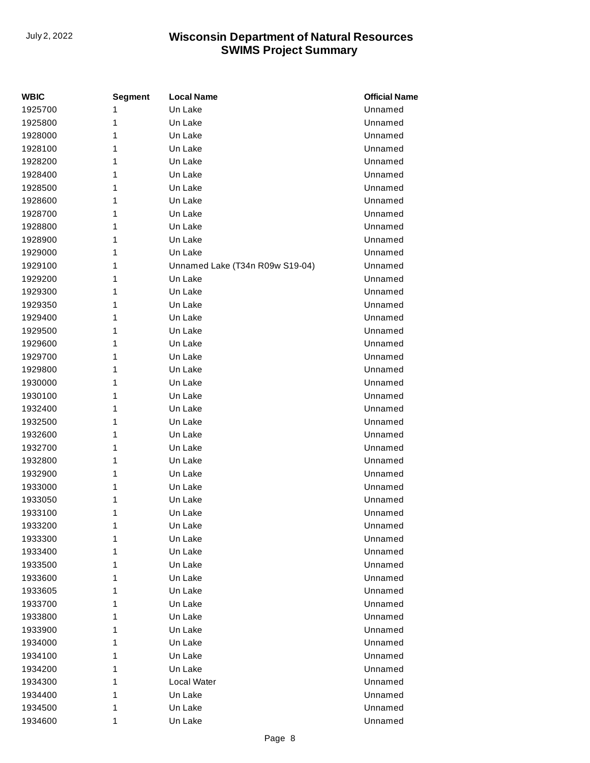| <b>WBIC</b> | Segment | <b>Local Name</b>               | <b>Official Name</b> |
|-------------|---------|---------------------------------|----------------------|
| 1925700     | 1       | Un Lake                         | Unnamed              |
| 1925800     | 1       | Un Lake                         | Unnamed              |
| 1928000     | 1       | Un Lake                         | Unnamed              |
| 1928100     | 1       | Un Lake                         | Unnamed              |
| 1928200     | 1       | Un Lake                         | Unnamed              |
| 1928400     | 1       | Un Lake                         | Unnamed              |
| 1928500     | 1       | Un Lake                         | Unnamed              |
| 1928600     | 1       | Un Lake                         | Unnamed              |
| 1928700     | 1       | Un Lake                         | Unnamed              |
| 1928800     | 1       | Un Lake                         | Unnamed              |
| 1928900     | 1       | Un Lake                         | Unnamed              |
| 1929000     | 1       | Un Lake                         | Unnamed              |
| 1929100     | 1       | Unnamed Lake (T34n R09w S19-04) | Unnamed              |
| 1929200     | 1       | Un Lake                         | Unnamed              |
| 1929300     | 1       | Un Lake                         | Unnamed              |
| 1929350     | 1       | Un Lake                         | Unnamed              |
| 1929400     | 1       | Un Lake                         | Unnamed              |
| 1929500     | 1       | Un Lake                         | Unnamed              |
| 1929600     | 1       | Un Lake                         | Unnamed              |
| 1929700     | 1       | Un Lake                         | Unnamed              |
| 1929800     | 1       | Un Lake                         | Unnamed              |
| 1930000     | 1       | Un Lake                         | Unnamed              |
| 1930100     | 1       | Un Lake                         | Unnamed              |
| 1932400     | 1       | Un Lake                         | Unnamed              |
| 1932500     | 1       | Un Lake                         | Unnamed              |
| 1932600     | 1       | Un Lake                         | Unnamed              |
| 1932700     | 1       | Un Lake                         | Unnamed              |
| 1932800     | 1       | Un Lake                         | Unnamed              |
| 1932900     | 1       | Un Lake                         | Unnamed              |
| 1933000     | 1       | Un Lake                         | Unnamed              |
| 1933050     | 1       | Un Lake                         | Unnamed              |
| 1933100     | 1       | Un Lake                         | Unnamed              |
| 1933200     | 1       | Un Lake                         | Unnamed              |
| 1933300     | 1       | Un Lake                         | Unnamed              |
| 1933400     | 1       | Un Lake                         | Unnamed              |
| 1933500     | 1       | Un Lake                         | Unnamed              |
| 1933600     | 1       | Un Lake                         | Unnamed              |
| 1933605     | 1       | Un Lake                         | Unnamed              |
| 1933700     | 1       | Un Lake                         | Unnamed              |
| 1933800     | 1       | Un Lake                         | Unnamed              |
| 1933900     | 1       | Un Lake                         | Unnamed              |
| 1934000     | 1       | Un Lake                         | Unnamed              |
| 1934100     | 1       | Un Lake                         | Unnamed              |
| 1934200     | 1       | Un Lake                         | Unnamed              |
| 1934300     | 1       | Local Water                     | Unnamed              |
| 1934400     | 1       | Un Lake                         | Unnamed              |
| 1934500     | 1       | Un Lake                         | Unnamed              |
| 1934600     | 1       | Un Lake                         | Unnamed              |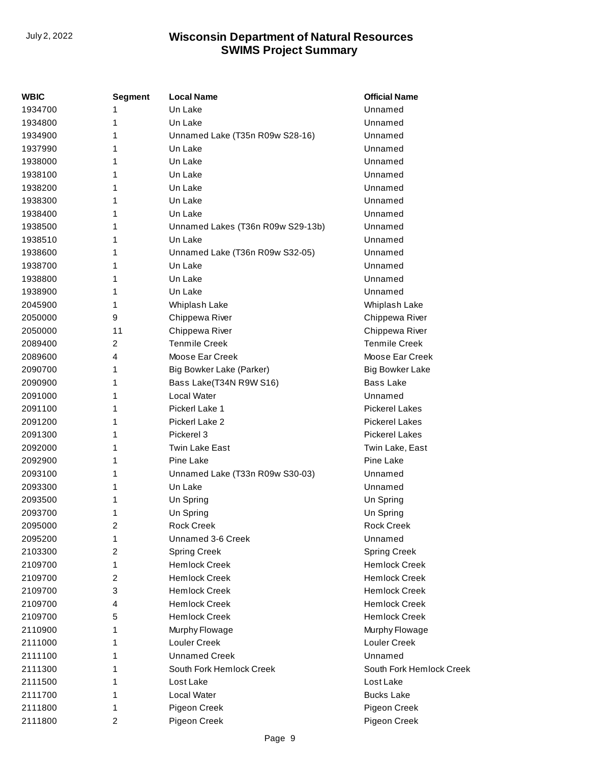| <b>WBIC</b> | Segment | <b>Local Name</b>                 | <b>Official Name</b>     |
|-------------|---------|-----------------------------------|--------------------------|
| 1934700     | 1       | Un Lake                           | Unnamed                  |
| 1934800     | 1       | Un Lake                           | Unnamed                  |
| 1934900     | 1       | Unnamed Lake (T35n R09w S28-16)   | Unnamed                  |
| 1937990     | 1       | Un Lake                           | Unnamed                  |
| 1938000     | 1       | Un Lake                           | Unnamed                  |
| 1938100     | 1       | Un Lake                           | Unnamed                  |
| 1938200     | 1       | Un Lake                           | Unnamed                  |
| 1938300     | 1       | Un Lake                           | Unnamed                  |
| 1938400     | 1       | Un Lake                           | Unnamed                  |
| 1938500     | 1       | Unnamed Lakes (T36n R09w S29-13b) | Unnamed                  |
| 1938510     | 1       | Un Lake                           | Unnamed                  |
| 1938600     | 1       | Unnamed Lake (T36n R09w S32-05)   | Unnamed                  |
| 1938700     | 1       | Un Lake                           | Unnamed                  |
| 1938800     | 1       | Un Lake                           | Unnamed                  |
| 1938900     | 1       | Un Lake                           | Unnamed                  |
| 2045900     | 1       | Whiplash Lake                     | Whiplash Lake            |
| 2050000     | 9       | Chippewa River                    | Chippewa River           |
| 2050000     | 11      | Chippewa River                    | Chippewa River           |
| 2089400     | 2       | <b>Tenmile Creek</b>              | <b>Tenmile Creek</b>     |
| 2089600     | 4       | Moose Ear Creek                   | Moose Ear Creek          |
| 2090700     | 1       | Big Bowker Lake (Parker)          | <b>Big Bowker Lake</b>   |
| 2090900     | 1       | Bass Lake(T34N R9W S16)           | <b>Bass Lake</b>         |
| 2091000     | 1       | Local Water                       | Unnamed                  |
| 2091100     | 1       | Pickerl Lake 1                    | <b>Pickerel Lakes</b>    |
| 2091200     | 1       | Pickerl Lake 2                    | <b>Pickerel Lakes</b>    |
| 2091300     | 1       | Pickerel 3                        | <b>Pickerel Lakes</b>    |
| 2092000     | 1       | <b>Twin Lake East</b>             | Twin Lake, East          |
| 2092900     | 1       | Pine Lake                         | Pine Lake                |
| 2093100     | 1       | Unnamed Lake (T33n R09w S30-03)   | Unnamed                  |
| 2093300     | 1       | Un Lake                           | Unnamed                  |
| 2093500     | 1       | Un Spring                         | Un Spring                |
| 2093700     | 1       | Un Spring                         | Un Spring                |
| 2095000     | 2       | <b>Rock Creek</b>                 | <b>Rock Creek</b>        |
| 2095200     | 1       | Unnamed 3-6 Creek                 | Unnamed                  |
| 2103300     | 2       | <b>Spring Creek</b>               | <b>Spring Creek</b>      |
| 2109700     | 1       | <b>Hemlock Creek</b>              | <b>Hemlock Creek</b>     |
| 2109700     | 2       | <b>Hemlock Creek</b>              | <b>Hemlock Creek</b>     |
| 2109700     | 3       | <b>Hemlock Creek</b>              | <b>Hemlock Creek</b>     |
| 2109700     | 4       | <b>Hemlock Creek</b>              | <b>Hemlock Creek</b>     |
| 2109700     | 5       | <b>Hemlock Creek</b>              | <b>Hemlock Creek</b>     |
| 2110900     | 1       | Murphy Flowage                    | Murphy Flowage           |
| 2111000     | 1       | <b>Louler Creek</b>               | Louler Creek             |
| 2111100     | 1       | <b>Unnamed Creek</b>              | Unnamed                  |
| 2111300     | 1       | South Fork Hemlock Creek          | South Fork Hemlock Creek |
| 2111500     | 1       | Lost Lake                         | Lost Lake                |
| 2111700     | 1       | Local Water                       | <b>Bucks Lake</b>        |
| 2111800     | 1       | Pigeon Creek                      | Pigeon Creek             |
| 2111800     | 2       | Pigeon Creek                      | Pigeon Creek             |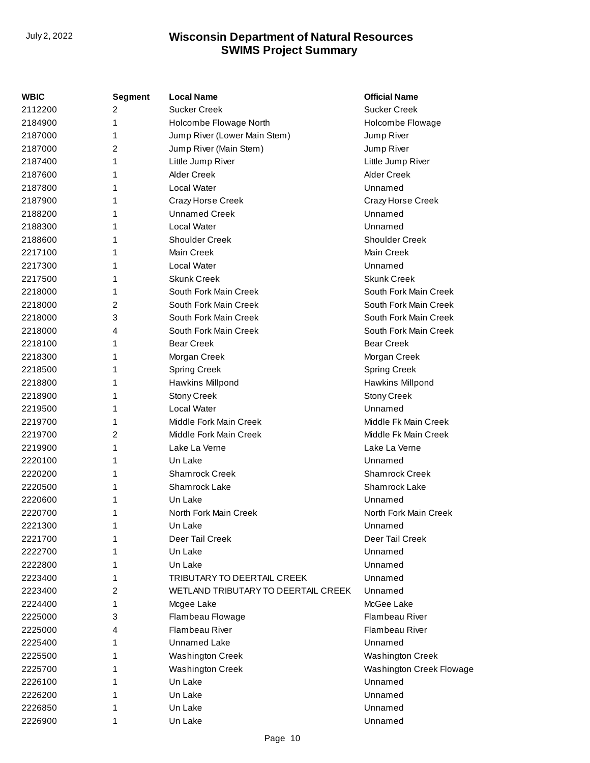| WBIC    | <b>Segment</b> | <b>Local Name</b>                   | <b>Official Name</b>     |
|---------|----------------|-------------------------------------|--------------------------|
| 2112200 | 2              | <b>Sucker Creek</b>                 | <b>Sucker Creek</b>      |
| 2184900 | 1              | Holcombe Flowage North              | Holcombe Flowage         |
| 2187000 | 1              | Jump River (Lower Main Stem)        | Jump River               |
| 2187000 | 2              | Jump River (Main Stem)              | Jump River               |
| 2187400 | 1              | Little Jump River                   | Little Jump River        |
| 2187600 | 1              | Alder Creek                         | <b>Alder Creek</b>       |
| 2187800 | 1              | Local Water                         | Unnamed                  |
| 2187900 | 1              | Crazy Horse Creek                   | Crazy Horse Creek        |
| 2188200 | 1              | <b>Unnamed Creek</b>                | Unnamed                  |
| 2188300 | 1              | <b>Local Water</b>                  | Unnamed                  |
| 2188600 | 1              | <b>Shoulder Creek</b>               | <b>Shoulder Creek</b>    |
| 2217100 | 1              | Main Creek                          | Main Creek               |
| 2217300 | 1              | Local Water                         | Unnamed                  |
| 2217500 | 1              | <b>Skunk Creek</b>                  | <b>Skunk Creek</b>       |
| 2218000 | 1              | South Fork Main Creek               | South Fork Main Creek    |
| 2218000 | 2              | South Fork Main Creek               | South Fork Main Creek    |
| 2218000 | 3              | South Fork Main Creek               | South Fork Main Creek    |
| 2218000 | 4              | South Fork Main Creek               | South Fork Main Creek    |
| 2218100 | 1              | <b>Bear Creek</b>                   | <b>Bear Creek</b>        |
| 2218300 | 1              | Morgan Creek                        | Morgan Creek             |
| 2218500 | 1              | <b>Spring Creek</b>                 | <b>Spring Creek</b>      |
| 2218800 | 1              | Hawkins Millpond                    | Hawkins Millpond         |
| 2218900 | 1              | Stony Creek                         | Stony Creek              |
| 2219500 | 1              | Local Water                         | Unnamed                  |
| 2219700 | 1              | Middle Fork Main Creek              | Middle Fk Main Creek     |
| 2219700 | 2              | Middle Fork Main Creek              | Middle Fk Main Creek     |
| 2219900 | 1              | Lake La Verne                       | Lake La Verne            |
| 2220100 | 1              | Un Lake                             | Unnamed                  |
| 2220200 | 1              | <b>Shamrock Creek</b>               | Shamrock Creek           |
| 2220500 | 1              | Shamrock Lake                       | Shamrock Lake            |
| 2220600 | 1              | Un Lake                             | Unnamed                  |
| 2220700 | 1              | North Fork Main Creek               | North Fork Main Creek    |
| 2221300 | 1              | Un Lake                             | Unnamed                  |
| 2221700 | 1              | Deer Tail Creek                     | Deer Tail Creek          |
| 2222700 |                | Un Lake                             | Unnamed                  |
| 2222800 | 1              | Un Lake                             | Unnamed                  |
| 2223400 | 1              | TRIBUTARY TO DEERTAIL CREEK         | Unnamed                  |
| 2223400 | 2              | WETLAND TRIBUTARY TO DEERTAIL CREEK | Unnamed                  |
| 2224400 | 1              | Mcgee Lake                          | McGee Lake               |
| 2225000 | 3              | Flambeau Flowage                    | Flambeau River           |
| 2225000 | 4              | Flambeau River                      | Flambeau River           |
| 2225400 | 1              | Unnamed Lake                        | Unnamed                  |
| 2225500 | 1              | <b>Washington Creek</b>             | <b>Washington Creek</b>  |
| 2225700 | 1              | Washington Creek                    | Washington Creek Flowage |
| 2226100 |                | Un Lake                             | Unnamed                  |
| 2226200 | 1              | Un Lake                             | Unnamed                  |
| 2226850 |                | Un Lake                             | Unnamed                  |
| 2226900 | 1              | Un Lake                             | Unnamed                  |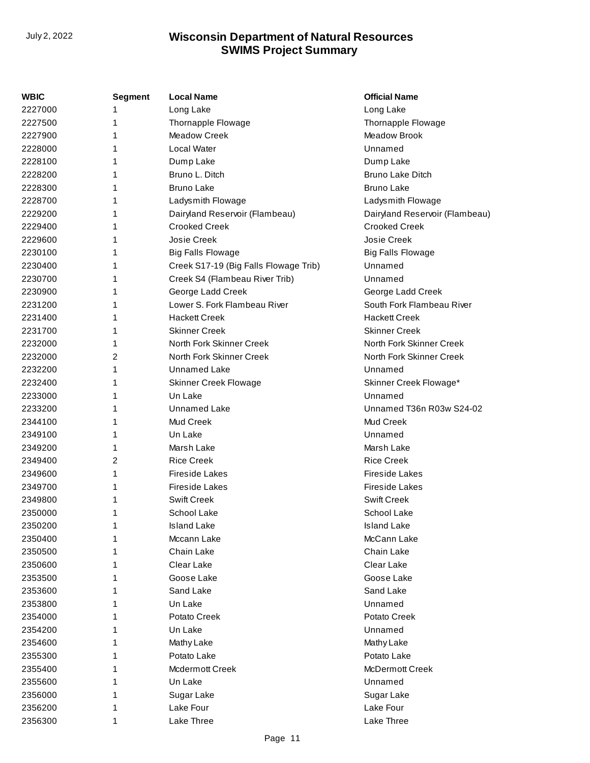| WBIC    | <b>Segment</b> | <b>Local Name</b>                     | <b>Official Name</b>           |
|---------|----------------|---------------------------------------|--------------------------------|
| 2227000 | 1              | Long Lake                             | Long Lake                      |
| 2227500 | 1              | Thornapple Flowage                    | Thornapple Flowage             |
| 2227900 | 1              | Meadow Creek                          | Meadow Brook                   |
| 2228000 |                | Local Water                           | Unnamed                        |
| 2228100 | 1              | Dump Lake                             | Dump Lake                      |
| 2228200 | 1              | Bruno L. Ditch                        | Bruno Lake Ditch               |
| 2228300 | 1              | <b>Bruno Lake</b>                     | <b>Bruno Lake</b>              |
| 2228700 | 1              | Ladysmith Flowage                     | Ladysmith Flowage              |
| 2229200 | 1              | Dairyland Reservoir (Flambeau)        | Dairyland Reservoir (Flambeau) |
| 2229400 |                | <b>Crooked Creek</b>                  | <b>Crooked Creek</b>           |
| 2229600 | 1              | Josie Creek                           | Josie Creek                    |
| 2230100 | 1              | <b>Big Falls Flowage</b>              | <b>Big Falls Flowage</b>       |
| 2230400 | 1              | Creek S17-19 (Big Falls Flowage Trib) | Unnamed                        |
| 2230700 | 1              | Creek S4 (Flambeau River Trib)        | Unnamed                        |
| 2230900 | 1              | George Ladd Creek                     | George Ladd Creek              |
| 2231200 | 1              | Lower S. Fork Flambeau River          | South Fork Flambeau River      |
| 2231400 | 1              | <b>Hackett Creek</b>                  | <b>Hackett Creek</b>           |
| 2231700 | 1              | <b>Skinner Creek</b>                  | <b>Skinner Creek</b>           |
| 2232000 | 1              | North Fork Skinner Creek              | North Fork Skinner Creek       |
| 2232000 | 2              | North Fork Skinner Creek              | North Fork Skinner Creek       |
| 2232200 | 1              | <b>Unnamed Lake</b>                   | Unnamed                        |
| 2232400 | 1              | Skinner Creek Flowage                 | Skinner Creek Flowage*         |
| 2233000 | 1              | Un Lake                               | Unnamed                        |
| 2233200 | 1              | Unnamed Lake                          | Unnamed T36n R03w S24-02       |
| 2344100 | 1              | Mud Creek                             | Mud Creek                      |
| 2349100 | 1              | Un Lake                               | Unnamed                        |
| 2349200 | 1              | Marsh Lake                            | Marsh Lake                     |
| 2349400 | 2              | <b>Rice Creek</b>                     | <b>Rice Creek</b>              |
| 2349600 | 1              | <b>Fireside Lakes</b>                 | <b>Fireside Lakes</b>          |
| 2349700 | 1              | <b>Fireside Lakes</b>                 | <b>Fireside Lakes</b>          |
| 2349800 | 1              | <b>Swift Creek</b>                    | <b>Swift Creek</b>             |
| 2350000 | 1              | School Lake                           | School Lake                    |
| 2350200 | 1              | <b>Island Lake</b>                    | <b>Island Lake</b>             |
| 2350400 | 1              | Mccann Lake                           | McCann Lake                    |
| 2350500 | 1              | Chain Lake                            | Chain Lake                     |
| 2350600 | 1              | Clear Lake                            | Clear Lake                     |
| 2353500 | 1              | Goose Lake                            | Goose Lake                     |
| 2353600 | 1              | Sand Lake                             | Sand Lake                      |
| 2353800 | 1              | Un Lake                               | Unnamed                        |
| 2354000 | 1              | Potato Creek                          | Potato Creek                   |
| 2354200 | 1              | Un Lake                               | Unnamed                        |
| 2354600 | 1              | Mathy Lake                            | Mathy Lake                     |
| 2355300 | 1              | Potato Lake                           | Potato Lake                    |
| 2355400 | 1              | Mcdermott Creek                       | McDermott Creek                |
| 2355600 | 1              | Un Lake                               | Unnamed                        |
| 2356000 | 1              | Sugar Lake                            | Sugar Lake                     |
| 2356200 | 1              | Lake Four                             | Lake Four                      |
| 2356300 | 1              | Lake Three                            | Lake Three                     |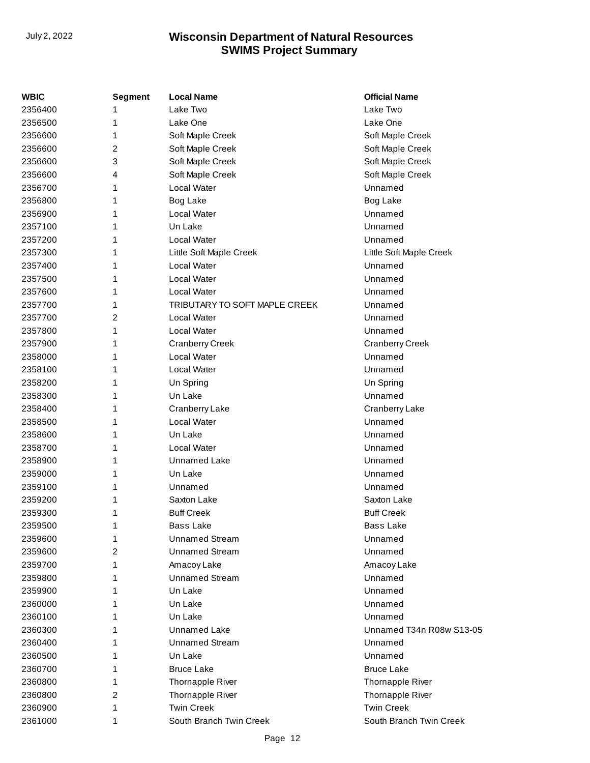| <b>WBIC</b> | Segment | <b>Local Name</b>             | <b>Official Name</b>     |
|-------------|---------|-------------------------------|--------------------------|
| 2356400     | 1       | Lake Two                      | Lake Two                 |
| 2356500     | 1       | Lake One                      | Lake One                 |
| 2356600     | 1       | Soft Maple Creek              | Soft Maple Creek         |
| 2356600     | 2       | Soft Maple Creek              | Soft Maple Creek         |
| 2356600     | 3       | Soft Maple Creek              | Soft Maple Creek         |
| 2356600     | 4       | Soft Maple Creek              | Soft Maple Creek         |
| 2356700     | 1       | Local Water                   | Unnamed                  |
| 2356800     | 1       | Bog Lake                      | Bog Lake                 |
| 2356900     | 1       | Local Water                   | Unnamed                  |
| 2357100     | 1       | Un Lake                       | Unnamed                  |
| 2357200     | 1       | <b>Local Water</b>            | Unnamed                  |
| 2357300     | 1       | Little Soft Maple Creek       | Little Soft Maple Creek  |
| 2357400     | 1       | Local Water                   | Unnamed                  |
| 2357500     | 1       | <b>Local Water</b>            | Unnamed                  |
| 2357600     | 1       | Local Water                   | Unnamed                  |
| 2357700     | 1       | TRIBUTARY TO SOFT MAPLE CREEK | Unnamed                  |
| 2357700     | 2       | <b>Local Water</b>            | Unnamed                  |
| 2357800     | 1       | Local Water                   | Unnamed                  |
| 2357900     | 1       | <b>Cranberry Creek</b>        | Cranberry Creek          |
| 2358000     | 1       | Local Water                   | Unnamed                  |
| 2358100     | 1       | Local Water                   | Unnamed                  |
| 2358200     | 1       | Un Spring                     | Un Spring                |
| 2358300     | 1       | Un Lake                       | Unnamed                  |
| 2358400     | 1       | Cranberry Lake                | Cranberry Lake           |
| 2358500     | 1       | Local Water                   | Unnamed                  |
| 2358600     | 1       | Un Lake                       | Unnamed                  |
| 2358700     | 1       | Local Water                   | Unnamed                  |
| 2358900     | 1       | Unnamed Lake                  | Unnamed                  |
| 2359000     | 1       | Un Lake                       | Unnamed                  |
| 2359100     | 1       | Unnamed                       | Unnamed                  |
| 2359200     | 1       | Saxton Lake                   | Saxton Lake              |
| 2359300     | 1       | <b>Buff Creek</b>             | <b>Buff Creek</b>        |
| 2359500     | 1       | <b>Bass Lake</b>              | <b>Bass Lake</b>         |
| 2359600     | 1       | <b>Unnamed Stream</b>         | Unnamed                  |
| 2359600     | 2       | <b>Unnamed Stream</b>         | Unnamed                  |
| 2359700     | 1       | Amacoy Lake                   | Amacoy Lake              |
| 2359800     | 1       | <b>Unnamed Stream</b>         | Unnamed                  |
| 2359900     | 1       | Un Lake                       | Unnamed                  |
| 2360000     | 1       | Un Lake                       | Unnamed                  |
| 2360100     | 1       | Un Lake                       | Unnamed                  |
| 2360300     | 1       | Unnamed Lake                  | Unnamed T34n R08w S13-05 |
| 2360400     | 1       | <b>Unnamed Stream</b>         | Unnamed                  |
| 2360500     | 1       | Un Lake                       | Unnamed                  |
| 2360700     | 1       | <b>Bruce Lake</b>             | <b>Bruce Lake</b>        |
| 2360800     | 1       | Thornapple River              | Thornapple River         |
| 2360800     | 2       | Thornapple River              | Thornapple River         |
| 2360900     | 1       | <b>Twin Creek</b>             | <b>Twin Creek</b>        |
| 2361000     | 1       | South Branch Twin Creek       | South Branch Twin Creek  |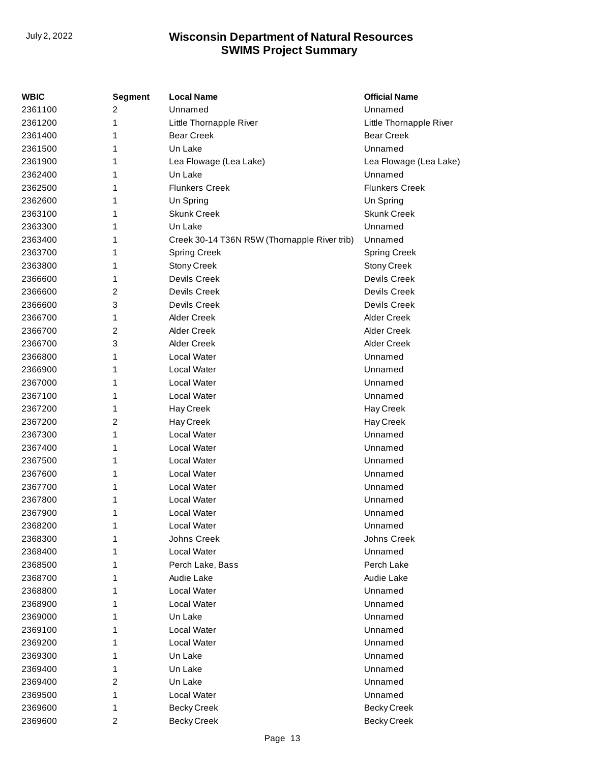| WBIC    | <b>Segment</b> | <b>Local Name</b>                            | <b>Official Name</b>    |
|---------|----------------|----------------------------------------------|-------------------------|
| 2361100 | 2              | Unnamed                                      | Unnamed                 |
| 2361200 | 1              | Little Thornapple River                      | Little Thornapple River |
| 2361400 | 1              | <b>Bear Creek</b>                            | <b>Bear Creek</b>       |
| 2361500 | 1              | Un Lake                                      | Unnamed                 |
| 2361900 | 1              | Lea Flowage (Lea Lake)                       | Lea Flowage (Lea Lake)  |
| 2362400 | 1              | Un Lake                                      | Unnamed                 |
| 2362500 | 1              | <b>Flunkers Creek</b>                        | <b>Flunkers Creek</b>   |
| 2362600 | 1              | Un Spring                                    | Un Spring               |
| 2363100 | 1              | <b>Skunk Creek</b>                           | <b>Skunk Creek</b>      |
| 2363300 | 1              | Un Lake                                      | Unnamed                 |
| 2363400 | 1              | Creek 30-14 T36N R5W (Thornapple River trib) | Unnamed                 |
| 2363700 | 1              | <b>Spring Creek</b>                          | <b>Spring Creek</b>     |
| 2363800 | 1              | <b>Stony Creek</b>                           | <b>Stony Creek</b>      |
| 2366600 | 1              | Devils Creek                                 | Devils Creek            |
| 2366600 | 2              | Devils Creek                                 | Devils Creek            |
| 2366600 | 3              | Devils Creek                                 | Devils Creek            |
| 2366700 | 1              | <b>Alder Creek</b>                           | <b>Alder Creek</b>      |
| 2366700 | 2              | <b>Alder Creek</b>                           | <b>Alder Creek</b>      |
| 2366700 | 3              | <b>Alder Creek</b>                           | <b>Alder Creek</b>      |
| 2366800 | 1              | Local Water                                  | Unnamed                 |
| 2366900 | 1              | <b>Local Water</b>                           | Unnamed                 |
| 2367000 | 1              | Local Water                                  | Unnamed                 |
| 2367100 | 1              | Local Water                                  | Unnamed                 |
| 2367200 | 1              | Hay Creek                                    | Hay Creek               |
| 2367200 | 2              | Hay Creek                                    | Hay Creek               |
| 2367300 | 1              | Local Water                                  | Unnamed                 |
| 2367400 | 1              | Local Water                                  | Unnamed                 |
| 2367500 | 1              | Local Water                                  | Unnamed                 |
| 2367600 | 1              | <b>Local Water</b>                           | Unnamed                 |
| 2367700 | 1              | Local Water                                  | Unnamed                 |
| 2367800 | 1              | Local Water                                  | Unnamed                 |
| 2367900 | 1              | Local Water                                  | Unnamed                 |
| 2368200 | 1              | Local Water                                  | Unnamed                 |
| 2368300 | 1              | Johns Creek                                  | Johns Creek             |
| 2368400 | 1              | Local Water                                  | Unnamed                 |
| 2368500 | 1              | Perch Lake, Bass                             | Perch Lake              |
| 2368700 | 1              | Audie Lake                                   | Audie Lake              |
| 2368800 | 1              | Local Water                                  | Unnamed                 |
| 2368900 | 1              | Local Water                                  | Unnamed                 |
| 2369000 | 1              | Un Lake                                      | Unnamed                 |
| 2369100 | 1              | Local Water                                  | Unnamed                 |
| 2369200 | 1              | Local Water                                  | Unnamed                 |
| 2369300 | 1              | Un Lake                                      | Unnamed                 |
| 2369400 | 1              | Un Lake                                      | Unnamed                 |
| 2369400 | 2              | Un Lake                                      | Unnamed                 |
| 2369500 | 1              | Local Water                                  | Unnamed                 |
| 2369600 | 1              | <b>Becky Creek</b>                           | <b>Becky Creek</b>      |
| 2369600 | 2              | <b>Becky Creek</b>                           | <b>Becky Creek</b>      |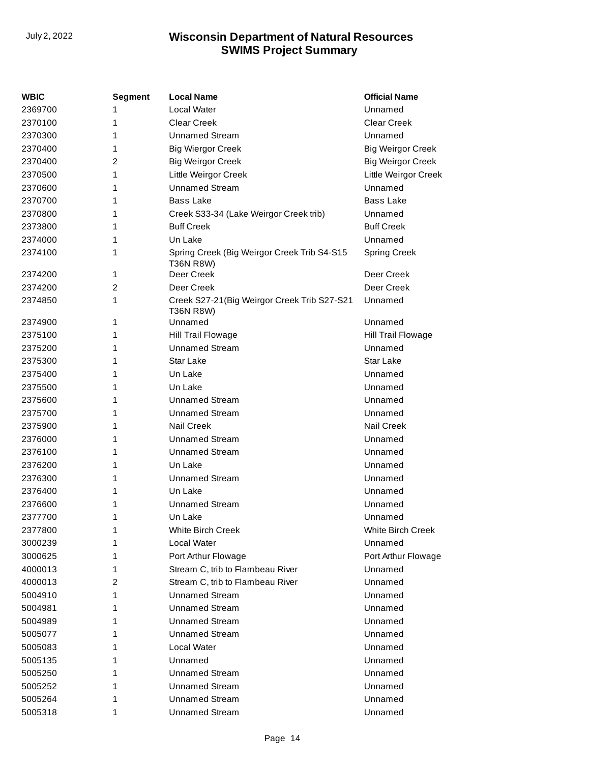| WBIC    | Segment | <b>Local Name</b>                                         | <b>Official Name</b>     |  |  |
|---------|---------|-----------------------------------------------------------|--------------------------|--|--|
| 2369700 | 1       | Local Water                                               | Unnamed                  |  |  |
| 2370100 | 1       | <b>Clear Creek</b><br>Clear Creek                         |                          |  |  |
| 2370300 | 1       | <b>Unnamed Stream</b>                                     | Unnamed                  |  |  |
| 2370400 | 1       | <b>Big Wiergor Creek</b>                                  | <b>Big Weirgor Creek</b> |  |  |
| 2370400 | 2       | <b>Big Weirgor Creek</b>                                  | <b>Big Weirgor Creek</b> |  |  |
| 2370500 | 1       | Little Weirgor Creek                                      | Little Weirgor Creek     |  |  |
| 2370600 | 1       | <b>Unnamed Stream</b>                                     | Unnamed                  |  |  |
| 2370700 | 1       | Bass Lake                                                 | <b>Bass Lake</b>         |  |  |
| 2370800 | 1       | Creek S33-34 (Lake Weirgor Creek trib)                    | Unnamed                  |  |  |
| 2373800 | 1       | <b>Buff Creek</b>                                         | <b>Buff Creek</b>        |  |  |
| 2374000 | 1       | Un Lake                                                   | Unnamed                  |  |  |
| 2374100 | 1       | Spring Creek (Big Weirgor Creek Trib S4-S15<br>T36N R8W)  | <b>Spring Creek</b>      |  |  |
| 2374200 | 1       | Deer Creek                                                | Deer Creek               |  |  |
| 2374200 | 2       | Deer Creek                                                | Deer Creek               |  |  |
| 2374850 | 1       | Creek S27-21 (Big Weirgor Creek Trib S27-S21<br>T36N R8W) | Unnamed                  |  |  |
| 2374900 | 1       | Unnamed                                                   | Unnamed                  |  |  |
| 2375100 | 1       | Hill Trail Flowage                                        | Hill Trail Flowage       |  |  |
| 2375200 | 1       | <b>Unnamed Stream</b>                                     | Unnamed                  |  |  |
| 2375300 | 1       | Star Lake                                                 | Star Lake                |  |  |
| 2375400 | 1       | Un Lake                                                   | Unnamed                  |  |  |
| 2375500 | 1       | Un Lake                                                   | Unnamed                  |  |  |
| 2375600 | 1       | <b>Unnamed Stream</b>                                     | Unnamed                  |  |  |
| 2375700 | 1       | Unnamed Stream                                            | Unnamed                  |  |  |
| 2375900 | 1       | <b>Nail Creek</b>                                         | Nail Creek               |  |  |
| 2376000 | 1       | <b>Unnamed Stream</b>                                     | Unnamed                  |  |  |
| 2376100 | 1       | <b>Unnamed Stream</b>                                     | Unnamed                  |  |  |
| 2376200 | 1       | Un Lake                                                   | Unnamed                  |  |  |
| 2376300 | 1       | <b>Unnamed Stream</b>                                     | Unnamed                  |  |  |
| 2376400 | 1       | Un Lake                                                   | Unnamed                  |  |  |
| 2376600 | 1       | Unnamed Stream                                            | Unnamed                  |  |  |
| 2377700 | 1       | Un Lake                                                   | Unnamed                  |  |  |
| 2377800 | 1       | <b>White Birch Creek</b>                                  | White Birch Creek        |  |  |
| 3000239 | 1       | Local Water                                               | Unnamed                  |  |  |
| 3000625 | 1       | Port Arthur Flowage                                       | Port Arthur Flowage      |  |  |
| 4000013 | 1       | Stream C, trib to Flambeau River                          | Unnamed                  |  |  |
| 4000013 | 2       | Stream C, trib to Flambeau River                          | Unnamed                  |  |  |
| 5004910 | 1       | <b>Unnamed Stream</b>                                     | Unnamed                  |  |  |
| 5004981 | 1       | <b>Unnamed Stream</b>                                     | Unnamed                  |  |  |
| 5004989 | 1       | <b>Unnamed Stream</b>                                     | Unnamed                  |  |  |
| 5005077 | 1       | Unnamed Stream                                            | Unnamed                  |  |  |
| 5005083 | 1       | Local Water                                               | Unnamed                  |  |  |
| 5005135 | 1       | Unnamed                                                   | Unnamed                  |  |  |
| 5005250 | 1       | Unnamed Stream                                            | Unnamed                  |  |  |
| 5005252 | 1       | Unnamed Stream                                            | Unnamed                  |  |  |
| 5005264 | 1       | <b>Unnamed Stream</b>                                     | Unnamed                  |  |  |
| 5005318 | 1       | <b>Unnamed Stream</b>                                     | Unnamed                  |  |  |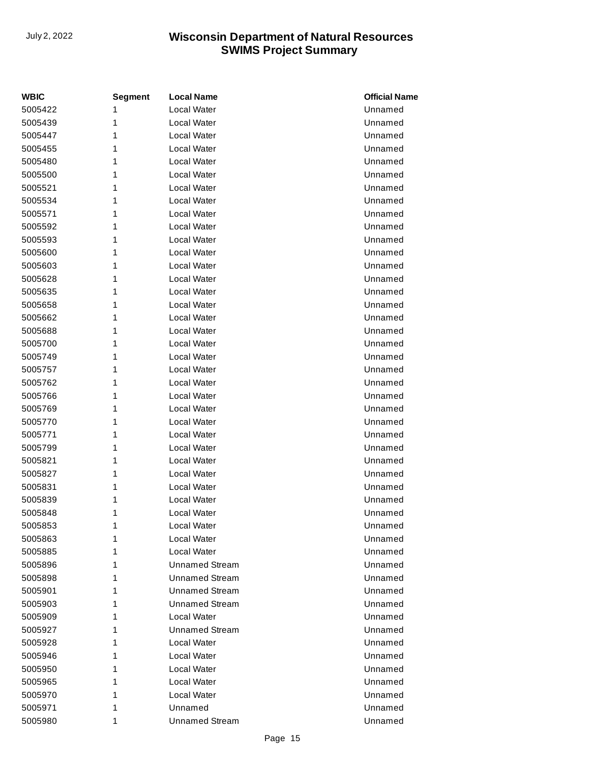| <b>WBIC</b> | <b>Segment</b> | <b>Local Name</b>     | <b>Official Name</b> |
|-------------|----------------|-----------------------|----------------------|
| 5005422     | 1              | Local Water           | Unnamed              |
| 5005439     | 1              | <b>Local Water</b>    | Unnamed              |
| 5005447     | 1              | Local Water           | Unnamed              |
| 5005455     | 1              | Local Water           | Unnamed              |
| 5005480     | 1              | Local Water           | Unnamed              |
| 5005500     | 1              | <b>Local Water</b>    | Unnamed              |
| 5005521     | 1              | Local Water           | Unnamed              |
| 5005534     | 1              | Local Water           | Unnamed              |
| 5005571     | 1              | Local Water           | Unnamed              |
| 5005592     | 1              | <b>Local Water</b>    | Unnamed              |
| 5005593     | 1              | Local Water           | Unnamed              |
| 5005600     | 1              | Local Water           | Unnamed              |
| 5005603     | 1              | Local Water           | Unnamed              |
| 5005628     | 1              | <b>Local Water</b>    | Unnamed              |
| 5005635     | 1              | <b>Local Water</b>    | Unnamed              |
| 5005658     | 1              | Local Water           | Unnamed              |
| 5005662     | 1              | Local Water           | Unnamed              |
| 5005688     | 1              | <b>Local Water</b>    | Unnamed              |
| 5005700     | 1              | Local Water           | Unnamed              |
| 5005749     | 1              | Local Water           | Unnamed              |
| 5005757     | 1              | Local Water           | Unnamed              |
| 5005762     | 1              | <b>Local Water</b>    | Unnamed              |
| 5005766     | 1              | <b>Local Water</b>    | Unnamed              |
| 5005769     | 1              | Local Water           | Unnamed              |
| 5005770     | 1              | Local Water           | Unnamed              |
| 5005771     | 1              | <b>Local Water</b>    | Unnamed              |
| 5005799     | 1              | Local Water           | Unnamed              |
| 5005821     | 1              | Local Water           | Unnamed              |
| 5005827     | 1              | Local Water           | Unnamed              |
| 5005831     | 1              | Local Water           | Unnamed              |
| 5005839     | 1              | Local Water           | Unnamed              |
| 5005848     | 1              | Local Water           | Unnamed              |
| 5005853     | 1              | Local Water           | Unnamed              |
| 5005863     | 1              | Local Water           | Unnamed              |
| 5005885     | 1              | Local Water           | Unnamed              |
| 5005896     | 1              | <b>Unnamed Stream</b> | Unnamed              |
| 5005898     | 1              | Unnamed Stream        | Unnamed              |
| 5005901     | 1              | <b>Unnamed Stream</b> | Unnamed              |
| 5005903     | 1              | <b>Unnamed Stream</b> | Unnamed              |
| 5005909     | 1              | Local Water           | Unnamed              |
| 5005927     | 1              | <b>Unnamed Stream</b> | Unnamed              |
| 5005928     | 1              | Local Water           | Unnamed              |
| 5005946     | 1              | Local Water           | Unnamed              |
| 5005950     | 1              | Local Water           | Unnamed              |
| 5005965     | 1              | Local Water           | Unnamed              |
| 5005970     | 1              | Local Water           | Unnamed              |
| 5005971     | 1              | Unnamed               | Unnamed              |
| 5005980     | 1              | <b>Unnamed Stream</b> | Unnamed              |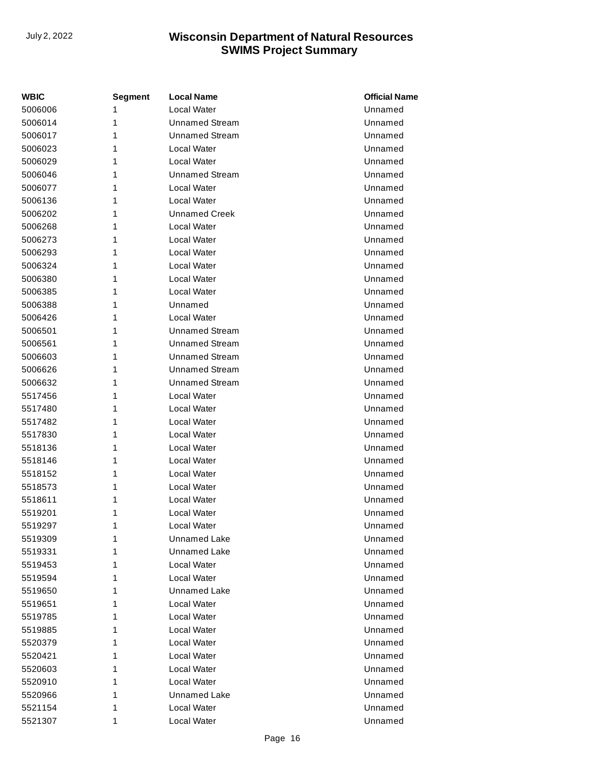| WBIC    | <b>Segment</b> | <b>Local Name</b>     | <b>Official Name</b> |
|---------|----------------|-----------------------|----------------------|
| 5006006 | 1              | <b>Local Water</b>    | Unnamed              |
| 5006014 | 1              | <b>Unnamed Stream</b> | Unnamed              |
| 5006017 | 1              | <b>Unnamed Stream</b> | Unnamed              |
| 5006023 | 1              | Local Water           | Unnamed              |
| 5006029 | 1              | Local Water           | Unnamed              |
| 5006046 | 1              | <b>Unnamed Stream</b> | Unnamed              |
| 5006077 | 1              | Local Water           | Unnamed              |
| 5006136 | 1              | Local Water           | Unnamed              |
| 5006202 | 1              | <b>Unnamed Creek</b>  | Unnamed              |
| 5006268 | 1              | Local Water           | Unnamed              |
| 5006273 | 1              | Local Water           | Unnamed              |
| 5006293 | 1              | Local Water           | Unnamed              |
| 5006324 | 1              | Local Water           | Unnamed              |
| 5006380 | 1              | Local Water           | Unnamed              |
| 5006385 | 1              | Local Water           | Unnamed              |
| 5006388 | 1              | Unnamed               | Unnamed              |
| 5006426 | 1              | Local Water           | Unnamed              |
| 5006501 | 1              | <b>Unnamed Stream</b> | Unnamed              |
| 5006561 | 1              | <b>Unnamed Stream</b> | Unnamed              |
| 5006603 | 1              | <b>Unnamed Stream</b> | Unnamed              |
| 5006626 | 1              | <b>Unnamed Stream</b> | Unnamed              |
| 5006632 | 1              | <b>Unnamed Stream</b> | Unnamed              |
| 5517456 | 1              | Local Water           | Unnamed              |
| 5517480 | 1              | Local Water           | Unnamed              |
| 5517482 | 1              | Local Water           | Unnamed              |
| 5517830 | 1              | Local Water           | Unnamed              |
| 5518136 | 1              | Local Water           | Unnamed              |
| 5518146 | 1              | Local Water           | Unnamed              |
| 5518152 | 1              | Local Water           | Unnamed              |
| 5518573 | 1              | Local Water           | Unnamed              |
| 5518611 | 1              | Local Water           | Unnamed              |
| 5519201 | 1              | Local Water           | Unnamed              |
| 5519297 | 1              | Local Water           | Unnamed              |
| 5519309 | 1              | <b>Unnamed Lake</b>   | Unnamed              |
| 5519331 | 1              | Unnamed Lake          | Unnamed              |
| 5519453 | 1              | Local Water           | Unnamed              |
| 5519594 | 1              | Local Water           | Unnamed              |
| 5519650 | 1              | <b>Unnamed Lake</b>   | Unnamed              |
| 5519651 | 1              | <b>Local Water</b>    | Unnamed              |
| 5519785 | 1              | Local Water           | Unnamed              |
| 5519885 | 1              | Local Water           | Unnamed              |
| 5520379 | 1              | Local Water           | Unnamed              |
| 5520421 | 1              | Local Water           | Unnamed              |
| 5520603 | 1              | Local Water           | Unnamed              |
| 5520910 | 1              | Local Water           | Unnamed              |
| 5520966 | 1              | Unnamed Lake          | Unnamed              |
| 5521154 | 1              | Local Water           | Unnamed              |
| 5521307 | 1              | Local Water           | Unnamed              |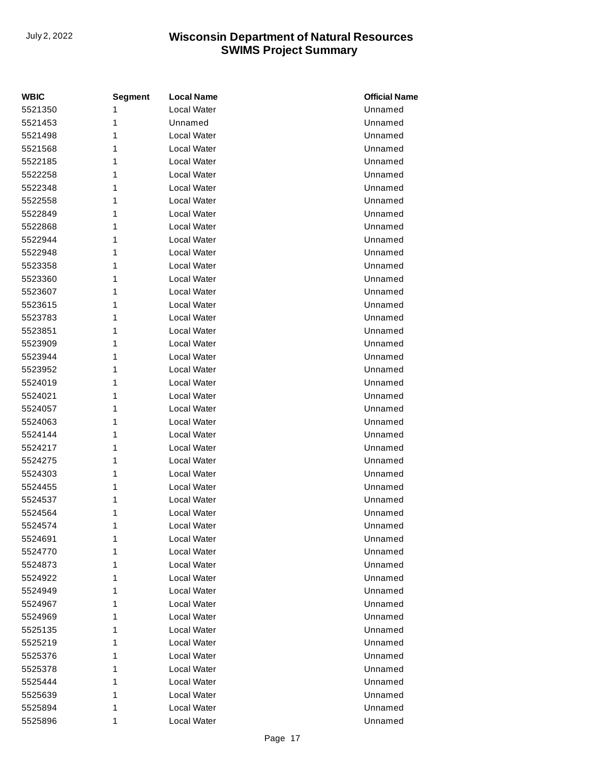| <b>WBIC</b> | <b>Segment</b> | <b>Local Name</b> | <b>Official Name</b> |
|-------------|----------------|-------------------|----------------------|
| 5521350     | 1              | Local Water       | Unnamed              |
| 5521453     | 1              | Unnamed           | Unnamed              |
| 5521498     | 1              | Local Water       | Unnamed              |
| 5521568     | 1              | Local Water       | Unnamed              |
| 5522185     | 1              | Local Water       | Unnamed              |
| 5522258     | 1              | Local Water       | Unnamed              |
| 5522348     | 1              | Local Water       | Unnamed              |
| 5522558     | 1              | Local Water       | Unnamed              |
| 5522849     | 1              | Local Water       | Unnamed              |
| 5522868     | 1              | Local Water       | Unnamed              |
| 5522944     | 1              | Local Water       | Unnamed              |
| 5522948     | 1              | Local Water       | Unnamed              |
| 5523358     | 1              | Local Water       | Unnamed              |
| 5523360     | 1              | Local Water       | Unnamed              |
| 5523607     | 1              | Local Water       | Unnamed              |
| 5523615     | 1              | Local Water       | Unnamed              |
| 5523783     | 1              | Local Water       | Unnamed              |
| 5523851     | 1              | Local Water       | Unnamed              |
| 5523909     | 1              | Local Water       | Unnamed              |
| 5523944     | 1              | Local Water       | Unnamed              |
| 5523952     | 1              | Local Water       | Unnamed              |
| 5524019     | 1              | Local Water       | Unnamed              |
| 5524021     | 1              | Local Water       | Unnamed              |
| 5524057     | 1              | Local Water       | Unnamed              |
| 5524063     | 1              | Local Water       | Unnamed              |
| 5524144     | 1              | Local Water       | Unnamed              |
| 5524217     | 1              | Local Water       | Unnamed              |
| 5524275     | 1              | Local Water       | Unnamed              |
| 5524303     | 1              | Local Water       | Unnamed              |
| 5524455     | 1              | Local Water       | Unnamed              |
| 5524537     | 1              | Local Water       | Unnamed              |
| 5524564     | 1              | Local Water       | Unnamed              |
| 5524574     | 1              | Local Water       | Unnamed              |
| 5524691     | 1              | Local Water       | Unnamed              |
| 5524770     | 1              | Local Water       | Unnamed              |
| 5524873     | 1              | Local Water       | Unnamed              |
| 5524922     | 1              | Local Water       | Unnamed              |
| 5524949     | 1              | Local Water       | Unnamed              |
| 5524967     | 1              | Local Water       | Unnamed              |
| 5524969     | 1              | Local Water       | Unnamed              |
| 5525135     | 1              | Local Water       | Unnamed              |
| 5525219     | 1              | Local Water       | Unnamed              |
| 5525376     | 1              | Local Water       | Unnamed              |
| 5525378     | 1              | Local Water       | Unnamed              |
| 5525444     | 1              | Local Water       | Unnamed              |
| 5525639     | 1              | Local Water       | Unnamed              |
| 5525894     | 1              | Local Water       | Unnamed              |
| 5525896     | 1              | Local Water       | Unnamed              |